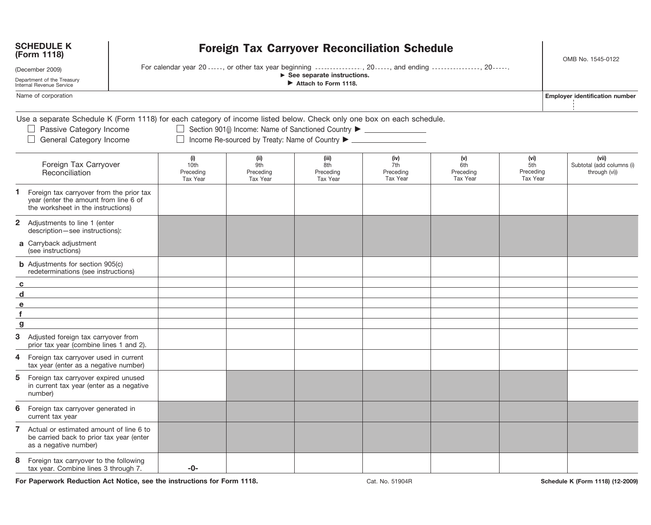|                                                                                                                               | <b>SCHEDULE K</b><br><b>Foreign Tax Carryover Reconciliation Schedule</b><br>(Form 1118)                                                                                     |                                             |                                             |                                                                                  |                                             |                                     |                                      |  | OMB No. 1545-0122                                   |  |
|-------------------------------------------------------------------------------------------------------------------------------|------------------------------------------------------------------------------------------------------------------------------------------------------------------------------|---------------------------------------------|---------------------------------------------|----------------------------------------------------------------------------------|---------------------------------------------|-------------------------------------|--------------------------------------|--|-----------------------------------------------------|--|
| (December 2009)                                                                                                               | For calendar year 20 -----, or other tax year beginning ---------------, 20-----, and ending ----------------, 20-----.                                                      |                                             |                                             |                                                                                  |                                             |                                     |                                      |  |                                                     |  |
| $\triangleright$ See separate instructions.<br>Department of the Treasury<br>Attach to Form 1118.<br>Internal Revenue Service |                                                                                                                                                                              |                                             |                                             |                                                                                  |                                             |                                     |                                      |  |                                                     |  |
|                                                                                                                               | Name of corporation                                                                                                                                                          |                                             |                                             |                                                                                  |                                             |                                     |                                      |  | <b>Employer identification number</b>               |  |
|                                                                                                                               | Use a separate Schedule K (Form 1118) for each category of income listed below. Check only one box on each schedule.<br>□ Passive Category Income<br>General Category Income |                                             |                                             | □ Section 901(j) Income: Name of Sanctioned Country ▶ __________________________ |                                             |                                     |                                      |  |                                                     |  |
|                                                                                                                               | Foreign Tax Carryover<br>Reconciliation                                                                                                                                      | (i)<br>10th<br>Preceding<br><b>Tax Year</b> | (ii)<br>9th<br>Preceding<br><b>Tax Year</b> | (iii)<br>8th<br>Preceding<br><b>Tax Year</b>                                     | (iv)<br>7th<br>Preceding<br><b>Tax Year</b> | (v)<br>6th<br>Preceding<br>Tax Year | (vi)<br>5th<br>Preceding<br>Tax Year |  | (vii)<br>Subtotal (add columns (i)<br>through (vi)) |  |
| 1.                                                                                                                            | Foreign tax carryover from the prior tax<br>year (enter the amount from line 6 of<br>the worksheet in the instructions)                                                      |                                             |                                             |                                                                                  |                                             |                                     |                                      |  |                                                     |  |
|                                                                                                                               | 2 Adjustments to line 1 (enter<br>description-see instructions):                                                                                                             |                                             |                                             |                                                                                  |                                             |                                     |                                      |  |                                                     |  |
|                                                                                                                               | a Carryback adjustment<br>(see instructions)                                                                                                                                 |                                             |                                             |                                                                                  |                                             |                                     |                                      |  |                                                     |  |
|                                                                                                                               | <b>b</b> Adjustments for section 905(c)<br>redeterminations (see instructions)                                                                                               |                                             |                                             |                                                                                  |                                             |                                     |                                      |  |                                                     |  |
| $\mathbf{c}$                                                                                                                  |                                                                                                                                                                              |                                             |                                             |                                                                                  |                                             |                                     |                                      |  |                                                     |  |
| d                                                                                                                             |                                                                                                                                                                              |                                             |                                             |                                                                                  |                                             |                                     |                                      |  |                                                     |  |
| $\mathbf{e}$                                                                                                                  |                                                                                                                                                                              |                                             |                                             |                                                                                  |                                             |                                     |                                      |  |                                                     |  |
| f                                                                                                                             |                                                                                                                                                                              |                                             |                                             |                                                                                  |                                             |                                     |                                      |  |                                                     |  |
| $\boldsymbol{g}$                                                                                                              |                                                                                                                                                                              |                                             |                                             |                                                                                  |                                             |                                     |                                      |  |                                                     |  |
| 3                                                                                                                             | Adjusted foreign tax carryover from<br>prior tax year (combine lines 1 and 2).                                                                                               |                                             |                                             |                                                                                  |                                             |                                     |                                      |  |                                                     |  |
| 4                                                                                                                             | Foreign tax carryover used in current<br>tax year (enter as a negative number)                                                                                               |                                             |                                             |                                                                                  |                                             |                                     |                                      |  |                                                     |  |
| 5                                                                                                                             | Foreign tax carryover expired unused<br>in current tax year (enter as a negative<br>number)                                                                                  |                                             |                                             |                                                                                  |                                             |                                     |                                      |  |                                                     |  |
|                                                                                                                               | 6 Foreign tax carryover generated in<br>current tax year                                                                                                                     |                                             |                                             |                                                                                  |                                             |                                     |                                      |  |                                                     |  |
| 7                                                                                                                             | Actual or estimated amount of line 6 to<br>be carried back to prior tax year (enter<br>as a negative number)                                                                 |                                             |                                             |                                                                                  |                                             |                                     |                                      |  |                                                     |  |
| 8                                                                                                                             | Foreign tax carryover to the following<br>tax year. Combine lines 3 through 7.                                                                                               | $-0-$                                       |                                             |                                                                                  |                                             |                                     |                                      |  |                                                     |  |

**For Paperwork Reduction Act Notice, see the instructions for Form 1118.** Cat. No. 51904R **Schedule K (Form 1118) (12-2009)** 

i.